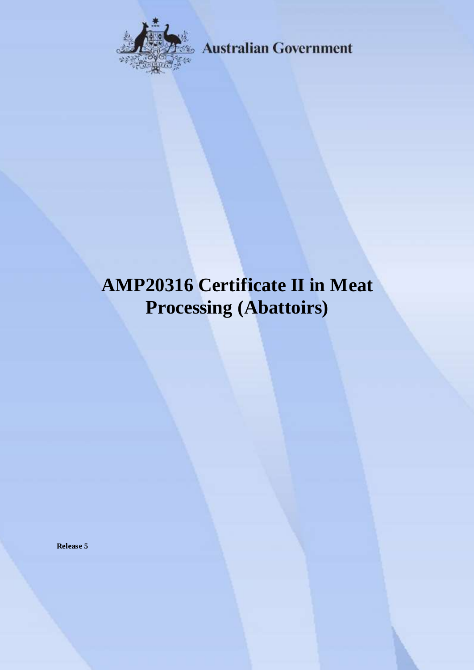

**Australian Government** 

# **AMP20316 Certificate II in Meat Processing (Abattoirs)**

**Release 5**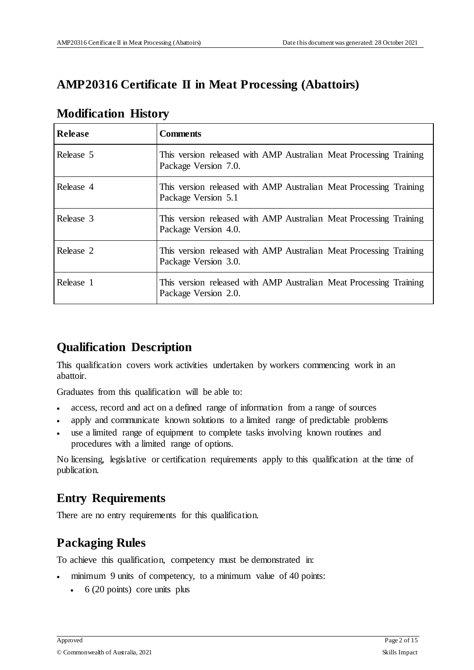# **AMP20316 Certificate II in Meat Processing (Abattoirs)**

| <b>Release</b> | <b>Comments</b>                                                                            |
|----------------|--------------------------------------------------------------------------------------------|
| Release 5      | This version released with AMP Australian Meat Processing Training<br>Package Version 7.0. |
| Release 4      | This version released with AMP Australian Meat Processing Training<br>Package Version 5.1  |
| Release 3      | This version released with AMP Australian Meat Processing Training<br>Package Version 4.0. |
| Release 2      | This version released with AMP Australian Meat Processing Training<br>Package Version 3.0. |
| Release 1      | This version released with AMP Australian Meat Processing Training<br>Package Version 2.0. |

# **Modification History**

# **Qualification Description**

This qualification covers work activities undertaken by workers commencing work in an abattoir.

Graduates from this qualification will be able to:

- access, record and act on a defined range of information from a range of sources
- apply and communicate known solutions to a limited range of predictable problems
- use a limited range of equipment to complete tasks involving known routines and procedures with a limited range of options.

No licensing, legislative or certification requirements apply to this qualification at the time of publication.

# **Entry Requirements**

There are no entry requirements for this qualification.

# **Packaging Rules**

To achieve this qualification, competency must be demonstrated in:

- minimum 9 units of competency, to a minimum value of 40 points:
	- $\cdot$  6 (20 points) core units plus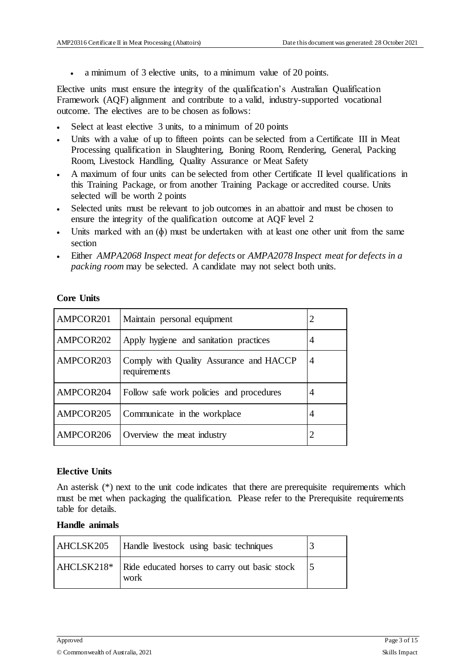a minimum of 3 elective units, to a minimum value of 20 points.

Elective units must ensure the integrity of the qualification's Australian Qualification Framework (AQF) alignment and contribute to a valid, industry-supported vocational outcome. The electives are to be chosen as follows:

- Select at least elective 3 units, to a minimum of 20 points
- Units with a value of up to fifteen points can be selected from a Certificate III in Meat Processing qualification in Slaughtering, Boning Room, Rendering, General, Packing Room, Livestock Handling, Quality Assurance or Meat Safety
- A maximum of four units can be selected from other Certificate II level qualifications in this Training Package, or from another Training Package or accredited course. Units selected will be worth 2 points
- Selected units must be relevant to job outcomes in an abattoir and must be chosen to ensure the integrity of the qualification outcome at AQF level 2
- Units marked with an (ɸ) must be undertaken with at least one other unit from the same section
- Either *AMPA2068 Inspect meat for defects* or *AMPA2078 Inspect meat for defects in a packing room* may be selected. A candidate may not select both units.

#### **Core Units**

| AMPCOR201 | Maintain personal equipment                             | 2              |
|-----------|---------------------------------------------------------|----------------|
| AMPCOR202 | Apply hygiene and sanitation practices                  | 4              |
| AMPCOR203 | Comply with Quality Assurance and HACCP<br>requirements | $\overline{4}$ |
| AMPCOR204 | Follow safe work policies and procedures                | 4              |
| AMPCOR205 | Communicate in the workplace                            | 4              |
| AMPCOR206 | Overview the meat industry                              |                |

#### **Elective Units**

An asterisk (\*) next to the unit code indicates that there are prerequisite requirements which must be met when packaging the qualification. Please refer to the Prerequisite requirements table for details.

#### **Handle animals**

| AHCLSK205 | Handle livestock using basic techniques                          |  |
|-----------|------------------------------------------------------------------|--|
|           | AHCLSK218* Ride educated horses to carry out basic stock<br>work |  |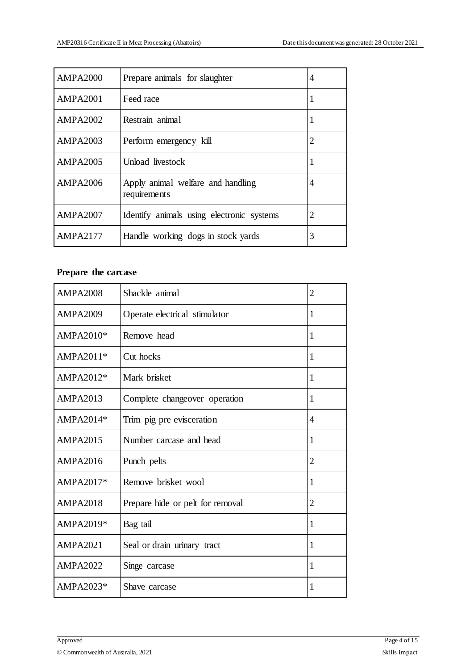| <b>AMPA2000</b> | Prepare animals for slaughter                     | 4  |
|-----------------|---------------------------------------------------|----|
| <b>AMPA2001</b> | Feed race                                         | -1 |
| <b>AMPA2002</b> | Restrain animal                                   | 1  |
| <b>AMPA2003</b> | Perform emergency kill                            | 2  |
| <b>AMPA2005</b> | Unload livestock                                  | 1  |
| <b>AMPA2006</b> | Apply animal welfare and handling<br>requirements | 4  |
| <b>AMPA2007</b> | Identify animals using electronic systems         | 2  |
| <b>AMPA2177</b> | Handle working dogs in stock yards                | 3  |

# **Prepare the carcase**

| <b>AMPA2008</b> | Shackle animal                   | $\overline{2}$ |
|-----------------|----------------------------------|----------------|
| <b>AMPA2009</b> | Operate electrical stimulator    | 1              |
| AMPA2010*       | Remove head                      | 1              |
| AMPA2011*       | Cut hocks                        | 1              |
| AMPA2012*       | Mark brisket                     | 1              |
| <b>AMPA2013</b> | Complete changeover operation    | 1              |
| AMPA2014*       | Trim pig pre evisceration        | 4              |
| <b>AMPA2015</b> | Number carcase and head          | 1              |
| <b>AMPA2016</b> | Punch pelts                      | $\overline{2}$ |
| AMPA2017*       | Remove brisket wool              | 1              |
| <b>AMPA2018</b> | Prepare hide or pelt for removal | 2              |
| AMPA2019*       | Bag tail                         | 1              |
| <b>AMPA2021</b> | Seal or drain urinary tract      | 1              |
| <b>AMPA2022</b> | Singe carcase                    | 1              |
| AMPA2023*       | Shave carcase                    | 1              |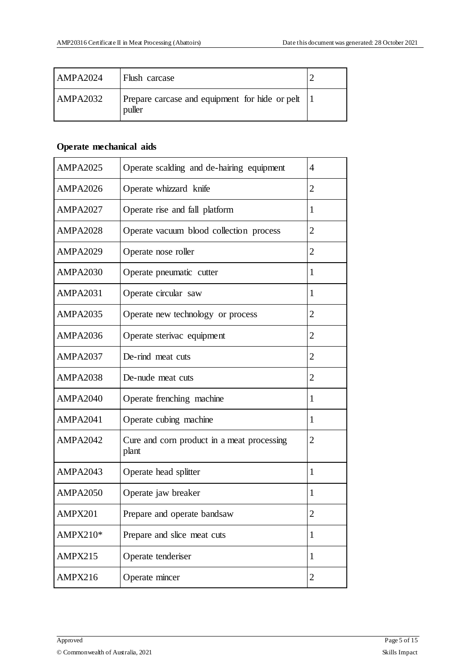| <b>AMPA2024</b> | <b>Flush</b> carcase                                     |  |
|-----------------|----------------------------------------------------------|--|
| <b>AMPA2032</b> | Prepare carcase and equipment for hide or pelt<br>puller |  |

# **Operate mechanical aids**

| <b>AMPA2025</b> | Operate scalding and de-hairing equipment           | 4              |
|-----------------|-----------------------------------------------------|----------------|
| <b>AMPA2026</b> | Operate whizzard knife                              | $\overline{2}$ |
| <b>AMPA2027</b> | Operate rise and fall platform                      | 1              |
| <b>AMPA2028</b> | Operate vacuum blood collection process             | $\overline{2}$ |
| <b>AMPA2029</b> | Operate nose roller                                 | $\overline{2}$ |
| <b>AMPA2030</b> | Operate pneumatic cutter                            | 1              |
| <b>AMPA2031</b> | Operate circular saw                                | 1              |
| <b>AMPA2035</b> | Operate new technology or process                   | 2              |
| <b>AMPA2036</b> | Operate sterivac equipment                          | $\overline{2}$ |
| <b>AMPA2037</b> | De-rind meat cuts                                   | $\overline{2}$ |
| <b>AMPA2038</b> | De-nude meat cuts                                   | 2              |
| <b>AMPA2040</b> | Operate frenching machine                           | 1              |
| <b>AMPA2041</b> | Operate cubing machine                              | 1              |
| <b>AMPA2042</b> | Cure and corn product in a meat processing<br>plant | $\overline{2}$ |
| <b>AMPA2043</b> | Operate head splitter                               | 1              |
| <b>AMPA2050</b> | Operate jaw breaker                                 | 1              |
| AMPX201         | Prepare and operate bandsaw                         | $\overline{2}$ |
| AMPX210*        | Prepare and slice meat cuts                         | 1              |
| AMPX215         | Operate tenderiser                                  | $\mathbf{1}$   |
| AMPX216         | Operate mincer                                      | 2              |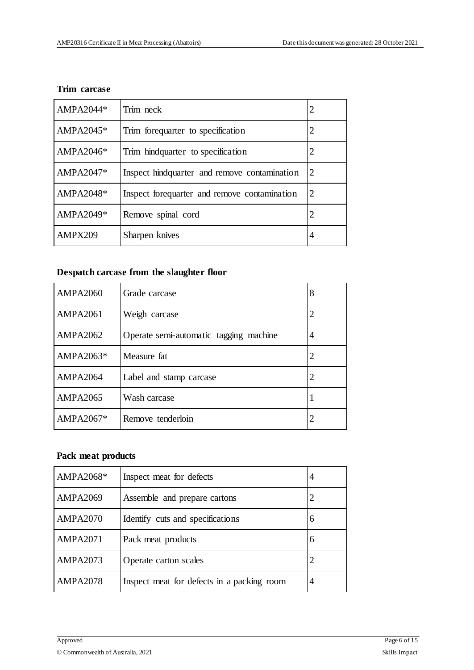#### **Trim carcase**

| AMPA2044*    | Trim neck                                     |   |
|--------------|-----------------------------------------------|---|
| AMPA2045 $*$ | Trim forequarter to specification             |   |
| $AMPA2046*$  | Trim hindquarter to specification             | 2 |
| $AMPA2047*$  | Inspect hind quarter and remove contamination | 2 |
| AMPA2048*    | Inspect forequarter and remove contamination  | 2 |
| AMPA2049*    | Remove spinal cord                            | 2 |
| AMPX209      | Sharpen knives                                | 4 |

# **Despatch carcase from the slaughter floor**

| <b>AMPA2060</b> | Grade carcase                          | 8              |
|-----------------|----------------------------------------|----------------|
| <b>AMPA2061</b> | Weigh carcase                          | 2              |
| <b>AMPA2062</b> | Operate semi-automatic tagging machine | $\overline{4}$ |
| AMPA2063*       | Measure fat.                           | 2              |
| AMPA2064        | Label and stamp carcase                | 2              |
| <b>AMPA2065</b> | Wash carcase                           |                |
| AMPA2067*       | Remove tenderloin                      |                |

### **Pack meat products**

| AMPA2068*       | Inspect meat for defects                   | 4 |
|-----------------|--------------------------------------------|---|
| <b>AMPA2069</b> | Assemble and prepare cartons               | 2 |
| <b>AMPA2070</b> | Identify cuts and specifications           | 6 |
| <b>AMPA2071</b> | Pack meat products                         | 6 |
| <b>AMPA2073</b> | Operate carton scales                      |   |
| <b>AMPA2078</b> | Inspect meat for defects in a packing room | 4 |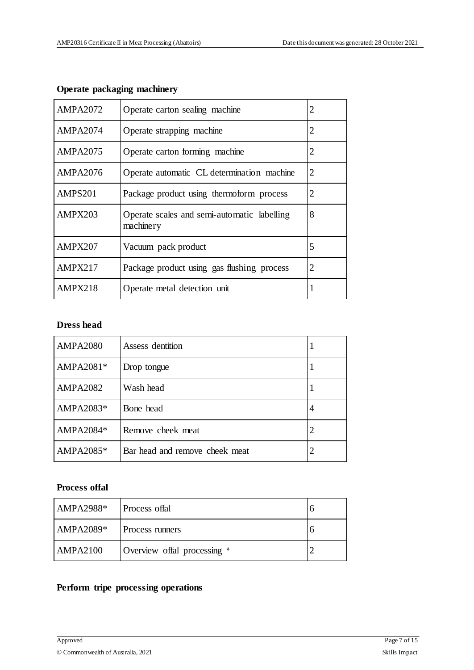| <b>AMPA2072</b> | Operate carton sealing machine                           | 2              |
|-----------------|----------------------------------------------------------|----------------|
| <b>AMPA2074</b> | Operate strapping machine                                | 2              |
| <b>AMPA2075</b> | Operate carton forming machine                           | $\overline{2}$ |
| AMPA2076        | Operate automatic CL determination machine               | 2              |
| AMPS201         | Package product using thermoform process                 | 2              |
| AMPX203         | Operate scales and semi-automatic labelling<br>machinery | 8              |
| AMPX207         | Vacuum pack product                                      | 5              |
| AMPX217         | Package product using gas flushing process               | 2              |
| AMPX218         | Operate metal detection unit                             |                |

# **Operate packaging machinery**

### **Dress head**

| <b>AMPA2080</b> | Assess dentition               |   |
|-----------------|--------------------------------|---|
| AMPA2081*       | Drop tongue                    |   |
| <b>AMPA2082</b> | Wash head                      |   |
| AMPA2083*       | Bone head                      | 4 |
| AMPA2084*       | Remove cheek meat              |   |
| AMPA2085*       | Bar head and remove cheek meat |   |

### **Process offal**

| $AMPA2988*$ | Process offal                    |  |
|-------------|----------------------------------|--|
| $AMPA2089*$ | Process runners                  |  |
| AMPA2100    | Overview offal processing $\ast$ |  |

#### **Perform tripe processing operations**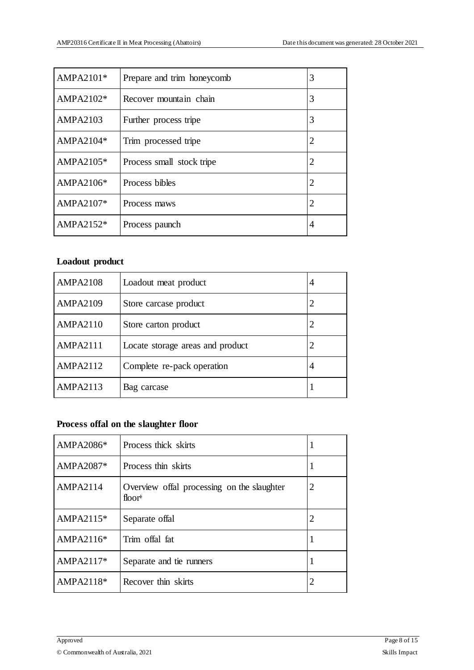| $AMPA2101*$     | Prepare and trim honeycomb | 3 |
|-----------------|----------------------------|---|
| $AMPA2102*$     | Recover mountain chain     | 3 |
| <b>AMPA2103</b> | Further process tripe      | 3 |
| AMPA2104*       | Trim processed tripe       | 2 |
| AMPA2105*       | Process small stock tripe  | 2 |
| AMPA2106*       | Process bibles             | 2 |
| AMPA2107*       | Process maws               | 2 |
| AMPA2152*       | Process paunch             | 4 |

### **Loadout product**

| <b>AMPA2108</b> | Loadout meat product             | 4 |
|-----------------|----------------------------------|---|
| <b>AMPA2109</b> | Store carcase product            |   |
| <b>AMPA2110</b> | Store carton product             |   |
| AMPA2111        | Locate storage areas and product |   |
| <b>AMPA2112</b> | Complete re-pack operation       | 4 |
| <b>AMPA2113</b> | Bag carcase                      |   |

### **Process offal on the slaughter floor**

| AMPA2086*       | Process thick skirts                                                             |   |
|-----------------|----------------------------------------------------------------------------------|---|
| AMPA2087*       | Process thin skirts                                                              |   |
| <b>AMPA2114</b> | Overview offal processing on the slaughter<br>floor <sup><math>\phi</math></sup> | 2 |
| $AMPA2115*$     | Separate offal                                                                   | 2 |
| $AMPA2116*$     | Trim offal fat                                                                   |   |
| $AMPA2117*$     | Separate and tie runners                                                         | 1 |
| AMPA2118*       | Recover thin skirts                                                              |   |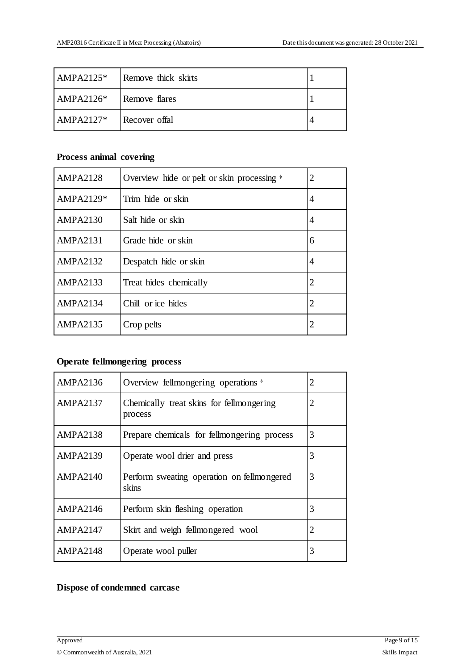| $AMPA2125*$ | Remove thick skirts |  |
|-------------|---------------------|--|
| $AMPA2126*$ | Remove flares       |  |
| $AMPA2127*$ | Recover offal       |  |

### **Process animal covering**

| <b>AMPA2128</b> | Overview hide or pelt or skin processing $\ast$ | 2 |
|-----------------|-------------------------------------------------|---|
| AMPA2129*       | Trim hide or skin                               | 4 |
| <b>AMPA2130</b> | Salt hide or skin                               | 4 |
| <b>AMPA2131</b> | Grade hide or skin                              | 6 |
| <b>AMPA2132</b> | Despatch hide or skin                           | 4 |
| <b>AMPA2133</b> | Treat hides chemically                          | 2 |
| AMPA2134        | Chill or ice hides                              | 2 |
| <b>AMPA2135</b> | Crop pelts                                      | 2 |

# **Operate fellmongering process**

| <b>AMPA2136</b> | Overview fellmongering operations *                 | 2 |
|-----------------|-----------------------------------------------------|---|
| <b>AMPA2137</b> | Chemically treat skins for fellmongering<br>process | 2 |
| <b>AMPA2138</b> | Prepare chemicals for fellmongering process         | 3 |
| <b>AMPA2139</b> | Operate wool drier and press                        | 3 |
| AMPA2140        | Perform sweating operation on fellmongered<br>skins | 3 |
| <b>AMPA2146</b> | Perform skin fleshing operation                     | 3 |
| <b>AMPA2147</b> | Skirt and weigh fellmongered wool                   | 2 |
| <b>AMPA2148</b> | Operate wool puller                                 | 3 |

#### **Dispose of condemned carcase**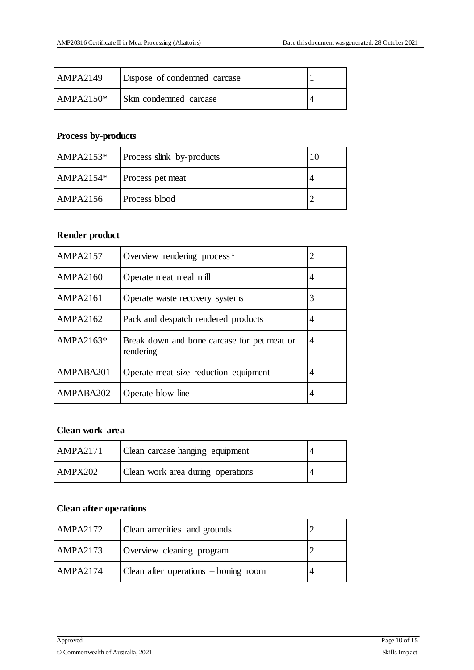| AMPA2149    | Dispose of condemned carcase |  |
|-------------|------------------------------|--|
| $AMPA2150*$ | Skin condemned carcase       |  |

# **Process by-products**

| AMPA2153 $*$    | Process slink by-products |  |
|-----------------|---------------------------|--|
| AMPA2154 $*$    | Process pet meat          |  |
| <b>AMPA2156</b> | Process blood             |  |

#### **Render product**

| <b>AMPA2157</b> | Overview rendering process $\phi$                        | 2 |
|-----------------|----------------------------------------------------------|---|
| <b>AMPA2160</b> | Operate meat meal mill                                   | 4 |
| AMPA2161        | Operate waste recovery systems                           | 3 |
| <b>AMPA2162</b> | Pack and despatch rendered products                      | 4 |
| AMPA2163*       | Break down and bone carcase for pet meat or<br>rendering | 4 |
| AMPABA201       | Operate meat size reduction equipment                    | 4 |
| AMPABA202       | Operate blow line                                        | 4 |

### **Clean work area**

| AMPA2171 | Clean carcase hanging equipment   |  |
|----------|-----------------------------------|--|
| AMPX202  | Clean work area during operations |  |

### **Clean after operations**

| <b>AMPA2172</b> | Clean amenities and grounds          |  |
|-----------------|--------------------------------------|--|
| <b>AMPA2173</b> | Overview cleaning program            |  |
| <b>AMPA2174</b> | Clean after operations – boning room |  |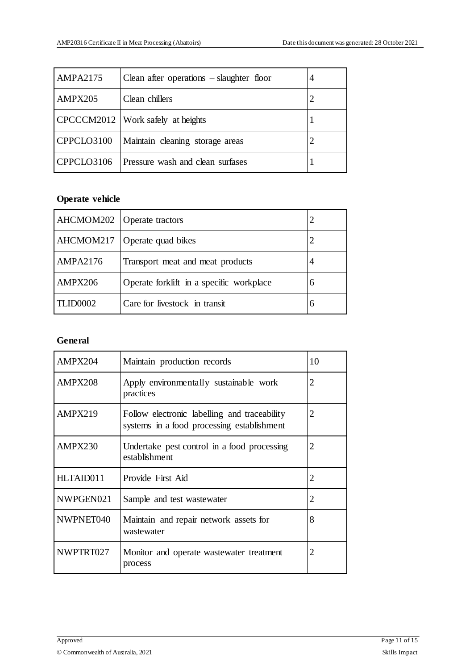| <b>AMPA2175</b> | Clean after operations $-$ slaughter floor | 4 |
|-----------------|--------------------------------------------|---|
| AMPX205         | Clean chillers                             |   |
|                 | CPCCCM2012   Work safely at heights        |   |
| CPPCLO3100      | Maintain cleaning storage areas            |   |
| CPPCLO3106      | Pressure wash and clean surfases           |   |

# **Operate vehicle**

| AHCMOM202       | Operate tractors                         |   |
|-----------------|------------------------------------------|---|
| AHCMOM217       | Operate quad bikes                       |   |
| <b>AMPA2176</b> | Transport meat and meat products         | 4 |
| AMPX206         | Operate forklift in a specific workplace | 6 |
| <b>TLID0002</b> | Care for livestock in transit            | 6 |

### **General**

| AMPX204   | Maintain production records                                                                | 10             |
|-----------|--------------------------------------------------------------------------------------------|----------------|
| AMPX208   | Apply environmentally sustainable work<br>practices                                        | 2              |
| AMPX219   | Follow electronic labelling and traceability<br>systems in a food processing establishment | 2              |
| AMPX230   | Undertake pest control in a food processing<br>establishment                               | 2              |
| HLTAID011 | Provide First Aid                                                                          | $\overline{2}$ |
| NWPGEN021 | Sample and test wastewater                                                                 | 2              |
| NWPNET040 | Maintain and repair network assets for<br>wastewater                                       | 8              |
| NWPTRT027 | Monitor and operate wastewater treatment<br>process                                        | 2              |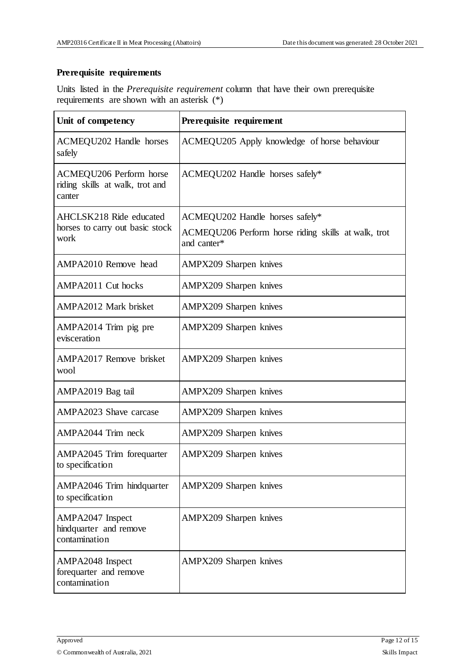### **Prerequisite requirements**

Units listed in the *Prerequisite requirement* column that have their own prerequisite requirements are shown with an asterisk (\*)

| Unit of competency                                                   | Prerequisite requirement                                                                              |
|----------------------------------------------------------------------|-------------------------------------------------------------------------------------------------------|
| ACMEQU202 Handle horses<br>safely                                    | ACMEQU205 Apply knowledge of horse behaviour                                                          |
| ACMEQU206 Perform horse<br>riding skills at walk, trot and<br>canter | ACMEQU202 Handle horses safely*                                                                       |
| AHCLSK218 Ride educated<br>horses to carry out basic stock<br>work   | ACMEQU202 Handle horses safely*<br>ACMEQU206 Perform horse riding skills at walk, trot<br>and canter* |
| AMPA2010 Remove head                                                 | <b>AMPX209</b> Sharpen knives                                                                         |
| AMPA2011 Cut hocks                                                   | AMPX209 Sharpen knives                                                                                |
| AMPA2012 Mark brisket                                                | AMPX209 Sharpen knives                                                                                |
| AMPA2014 Trim pig pre<br>evisceration                                | <b>AMPX209</b> Sharpen knives                                                                         |
| AMPA2017 Remove brisket<br>wool                                      | AMPX209 Sharpen knives                                                                                |
| AMPA2019 Bag tail                                                    | <b>AMPX209 Sharpen knives</b>                                                                         |
| AMPA2023 Shave carcase                                               | AMPX209 Sharpen knives                                                                                |
| AMPA2044 Trim neck                                                   | AMPX209 Sharpen knives                                                                                |
| AMPA2045 Trim forequarter<br>to specification                        | <b>AMPX209 Sharpen knives</b>                                                                         |
| AMPA2046 Trim hindquarter<br>to specification                        | AMPX209 Sharpen knives                                                                                |
| AMPA2047 Inspect<br>hindquarter and remove<br>contamination          | <b>AMPX209 Sharpen knives</b>                                                                         |
| AMPA2048 Inspect<br>forequarter and remove<br>contamination          | <b>AMPX209 Sharpen knives</b>                                                                         |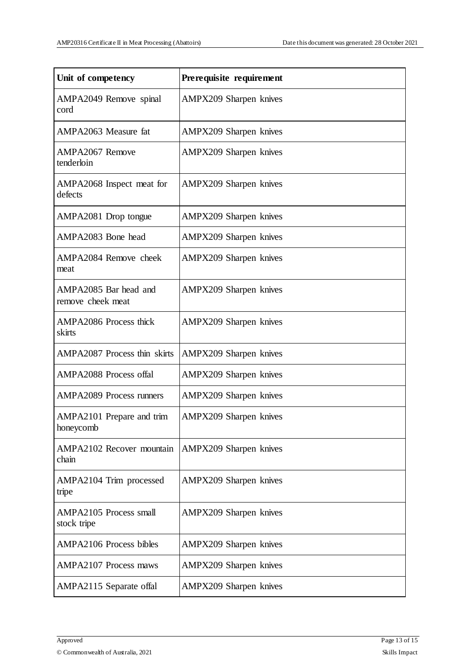| Unit of competency                           | Prerequisite requirement      |
|----------------------------------------------|-------------------------------|
| AMPA2049 Remove spinal<br>cord               | <b>AMPX209 Sharpen knives</b> |
| AMPA2063 Measure fat                         | <b>AMPX209 Sharpen knives</b> |
| AMPA2067 Remove<br>tenderloin                | AMPX209 Sharpen knives        |
| AMPA2068 Inspect meat for<br>defects         | <b>AMPX209 Sharpen knives</b> |
| AMPA2081 Drop tongue                         | <b>AMPX209</b> Sharpen knives |
| AMPA2083 Bone head                           | AMPX209 Sharpen knives        |
| AMPA2084 Remove cheek<br>meat                | AMPX209 Sharpen knives        |
| AMPA2085 Bar head and<br>remove cheek meat   | <b>AMPX209 Sharpen knives</b> |
| <b>AMPA2086</b> Process thick<br>skirts      | <b>AMPX209 Sharpen knives</b> |
| <b>AMPA2087</b> Process thin skirts          | <b>AMPX209 Sharpen knives</b> |
| <b>AMPA2088</b> Process offal                | <b>AMPX209 Sharpen knives</b> |
| <b>AMPA2089</b> Process runners              | AMPX209 Sharpen knives        |
| AMPA2101 Prepare and trim<br>honeycomb       | <b>AMPX209</b> Sharpen knives |
| <b>AMPA2102 Recover mountain</b><br>chain    | AMPX209 Sharpen knives        |
| AMPA2104 Trim processed<br>tripe             | <b>AMPX209 Sharpen knives</b> |
| <b>AMPA2105 Process small</b><br>stock tripe | <b>AMPX209</b> Sharpen knives |
| <b>AMPA2106 Process bibles</b>               | <b>AMPX209 Sharpen knives</b> |
| <b>AMPA2107</b> Process maws                 | <b>AMPX209</b> Sharpen knives |
| AMPA2115 Separate offal                      | <b>AMPX209 Sharpen knives</b> |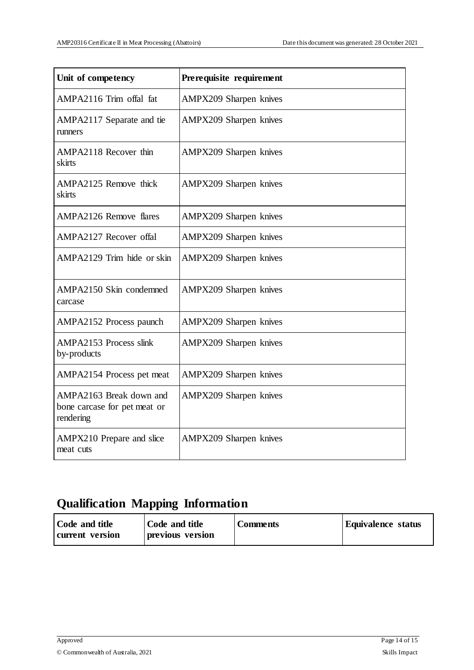| Unit of competency                                                   | Prerequisite requirement      |
|----------------------------------------------------------------------|-------------------------------|
| AMPA2116 Trim offal fat                                              | AMPX209 Sharpen knives        |
| AMPA2117 Separate and tie<br>runners                                 | AMPX209 Sharpen knives        |
| AMPA2118 Recover thin<br>skirts                                      | AMPX209 Sharpen knives        |
| AMPA2125 Remove thick<br>skirts                                      | AMPX209 Sharpen knives        |
| <b>AMPA2126 Remove flares</b>                                        | AMPX209 Sharpen knives        |
| AMPA2127 Recover offal                                               | AMPX209 Sharpen knives        |
| AMPA2129 Trim hide or skin                                           | AMPX209 Sharpen knives        |
| AMPA2150 Skin condemned<br>carcase                                   | <b>AMPX209 Sharpen knives</b> |
| AMPA2152 Process paunch                                              | AMPX209 Sharpen knives        |
| <b>AMPA2153 Process slink</b><br>by-products                         | AMPX209 Sharpen knives        |
| AMPA2154 Process pet meat                                            | AMPX209 Sharpen knives        |
| AMPA2163 Break down and<br>bone carcase for pet meat or<br>rendering | AMPX209 Sharpen knives        |
| AMPX210 Prepare and slice<br>meat cuts                               | AMPX209 Sharpen knives        |

# **Qualification Mapping Information**

| Code and title  | Code and title   | <b>Comments</b> | <b>Equivalence status</b> |
|-----------------|------------------|-----------------|---------------------------|
| current version | previous version |                 |                           |